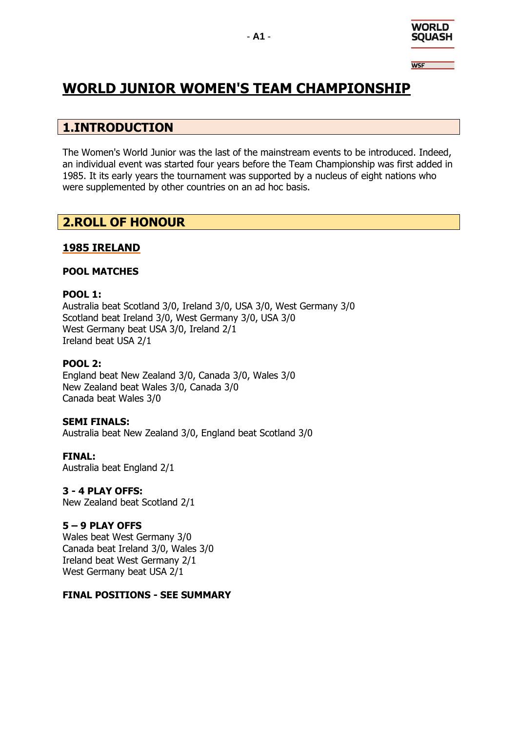

**WSF** 

# **WORLD JUNIOR WOMEN'S TEAM CHAMPIONSHIP**

# **1.INTRODUCTION**

The Women's World Junior was the last of the mainstream events to be introduced. Indeed, an individual event was started four years before the Team Championship was first added in 1985. It its early years the tournament was supported by a nucleus of eight nations who were supplemented by other countries on an ad hoc basis.

# **2.ROLL OF HONOUR**

# **1985 IRELAND**

### **POOL MATCHES**

### **POOL 1:**

Australia beat Scotland 3/0, Ireland 3/0, USA 3/0, West Germany 3/0 Scotland beat Ireland 3/0, West Germany 3/0, USA 3/0 West Germany beat USA 3/0, Ireland 2/1 Ireland beat USA 2/1

### **POOL 2:**

England beat New Zealand 3/0, Canada 3/0, Wales 3/0 New Zealand beat Wales 3/0, Canada 3/0 Canada beat Wales 3/0

### **SEMI FINALS:**

Australia beat New Zealand 3/0, England beat Scotland 3/0

**FINAL:** Australia beat England 2/1

### **3 - 4 PLAY OFFS:**

New Zealand beat Scotland 2/1

### **5 – 9 PLAY OFFS**

Wales beat West Germany 3/0 Canada beat Ireland 3/0, Wales 3/0 Ireland beat West Germany 2/1 West Germany beat USA 2/1

### **FINAL POSITIONS - SEE SUMMARY**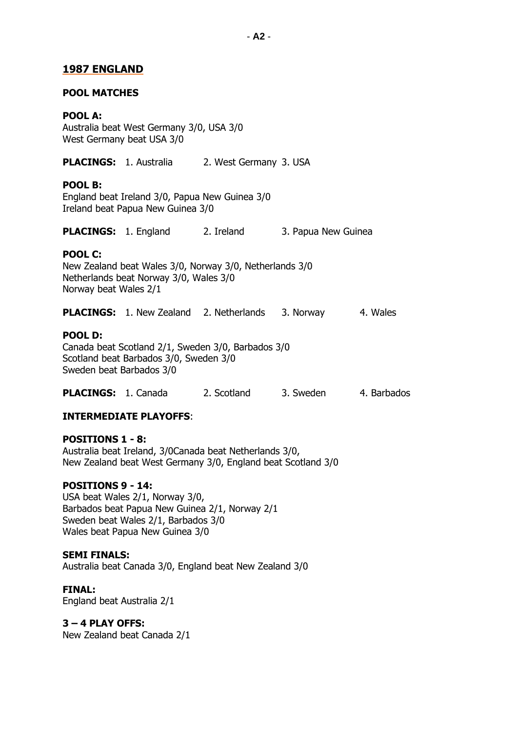### **1987 ENGLAND**

#### **POOL MATCHES**

#### **POOL A:**

Australia beat West Germany 3/0, USA 3/0 West Germany beat USA 3/0

**PLACINGS:** 1. Australia 2. West Germany 3. USA

#### **POOL B:**

England beat Ireland 3/0, Papua New Guinea 3/0 Ireland beat Papua New Guinea 3/0

**PLACINGS:** 1. England 2. Ireland 3. Papua New Guinea

### **POOL C:**

New Zealand beat Wales 3/0, Norway 3/0, Netherlands 3/0 Netherlands beat Norway 3/0, Wales 3/0 Norway beat Wales 2/1

**PLACINGS:** 1. New Zealand 2. Netherlands 3. Norway 4. Wales

#### **POOL D:**

Canada beat Scotland 2/1, Sweden 3/0, Barbados 3/0 Scotland beat Barbados 3/0, Sweden 3/0 Sweden beat Barbados 3/0

**PLACINGS:** 1. Canada 2. Scotland 3. Sweden 4. Barbados

### **INTERMEDIATE PLAYOFFS**:

**POSITIONS 1 - 8:** Australia beat Ireland, 3/0Canada beat Netherlands 3/0, New Zealand beat West Germany 3/0, England beat Scotland 3/0

#### **POSITIONS 9 - 14:**

USA beat Wales 2/1, Norway 3/0, Barbados beat Papua New Guinea 2/1, Norway 2/1 Sweden beat Wales 2/1, Barbados 3/0 Wales beat Papua New Guinea 3/0

#### **SEMI FINALS:**

Australia beat Canada 3/0, England beat New Zealand 3/0

#### **FINAL:**

England beat Australia 2/1

#### **3 – 4 PLAY OFFS:**

New Zealand beat Canada 2/1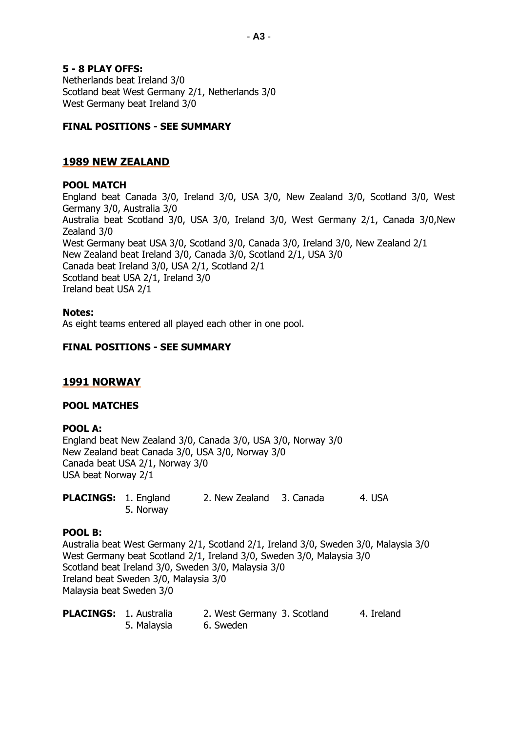#### **5 - 8 PLAY OFFS:**

Netherlands beat Ireland 3/0 Scotland beat West Germany 2/1, Netherlands 3/0 West Germany beat Ireland 3/0

#### **FINAL POSITIONS - SEE SUMMARY**

### **1989 NEW ZEALAND**

#### **POOL MATCH**

England beat Canada 3/0, Ireland 3/0, USA 3/0, New Zealand 3/0, Scotland 3/0, West Germany 3/0, Australia 3/0 Australia beat Scotland 3/0, USA 3/0, Ireland 3/0, West Germany 2/1, Canada 3/0,New Zealand 3/0 West Germany beat USA 3/0, Scotland 3/0, Canada 3/0, Ireland 3/0, New Zealand 2/1 New Zealand beat Ireland 3/0, Canada 3/0, Scotland 2/1, USA 3/0 Canada beat Ireland 3/0, USA 2/1, Scotland 2/1 Scotland beat USA 2/1, Ireland 3/0 Ireland beat USA 2/1

#### **Notes:**

As eight teams entered all played each other in one pool.

#### **FINAL POSITIONS - SEE SUMMARY**

#### **1991 NORWAY**

#### **POOL MATCHES**

#### **POOL A:**

England beat New Zealand 3/0, Canada 3/0, USA 3/0, Norway 3/0 New Zealand beat Canada 3/0, USA 3/0, Norway 3/0 Canada beat USA 2/1, Norway 3/0 USA beat Norway 2/1

**PLACINGS:** 1. England 2. New Zealand 3. Canada 4. USA 5. Norway

#### **POOL B:**

Australia beat West Germany 2/1, Scotland 2/1, Ireland 3/0, Sweden 3/0, Malaysia 3/0 West Germany beat Scotland 2/1, Ireland 3/0, Sweden 3/0, Malaysia 3/0 Scotland beat Ireland 3/0, Sweden 3/0, Malaysia 3/0 Ireland beat Sweden 3/0, Malaysia 3/0 Malaysia beat Sweden 3/0

| <b>PLACINGS: 1. Australia</b> |             | 2. West Germany 3. Scotland | 4. Ireland |
|-------------------------------|-------------|-----------------------------|------------|
|                               | 5. Malaysia | 6. Sweden                   |            |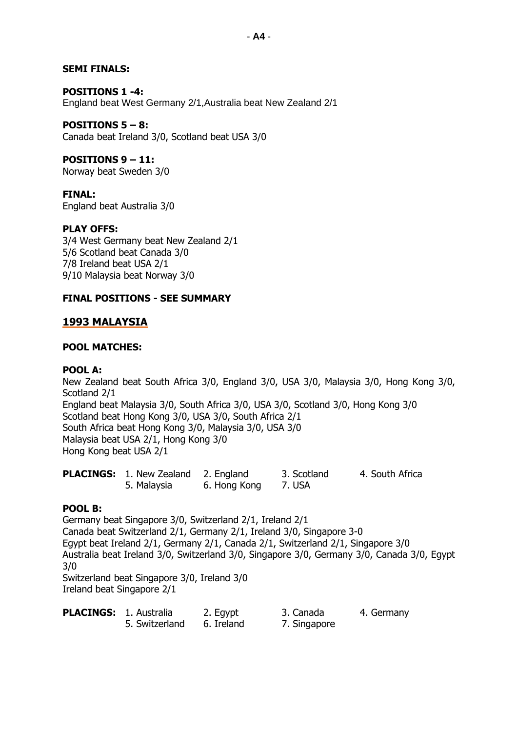#### **SEMI FINALS:**

#### **POSITIONS 1 -4:** England beat West Germany 2/1,Australia beat New Zealand 2/1

**POSITIONS 5 – 8:** Canada beat Ireland 3/0, Scotland beat USA 3/0

### **POSITIONS 9 – 11:**

Norway beat Sweden 3/0

### **FINAL:**

England beat Australia 3/0

### **PLAY OFFS:**

3/4 West Germany beat New Zealand 2/1 5/6 Scotland beat Canada 3/0 7/8 Ireland beat USA 2/1 9/10 Malaysia beat Norway 3/0

### **FINAL POSITIONS - SEE SUMMARY**

# **1993 MALAYSIA**

### **POOL MATCHES:**

### **POOL A:**

New Zealand beat South Africa 3/0, England 3/0, USA 3/0, Malaysia 3/0, Hong Kong 3/0, Scotland 2/1 England beat Malaysia 3/0, South Africa 3/0, USA 3/0, Scotland 3/0, Hong Kong 3/0 Scotland beat Hong Kong 3/0, USA 3/0, South Africa 2/1 South Africa beat Hong Kong 3/0, Malaysia 3/0, USA 3/0 Malaysia beat USA 2/1, Hong Kong 3/0 Hong Kong beat USA 2/1

| <b>PLACINGS:</b> 1. New Zealand 2. England |              | 3. Scotland | 4. South Africa |
|--------------------------------------------|--------------|-------------|-----------------|
| 5. Malaysia                                | 6. Hong Kong | 7. USA      |                 |

### **POOL B:**

Germany beat Singapore 3/0, Switzerland 2/1, Ireland 2/1 Canada beat Switzerland 2/1, Germany 2/1, Ireland 3/0, Singapore 3-0 Egypt beat Ireland 2/1, Germany 2/1, Canada 2/1, Switzerland 2/1, Singapore 3/0 Australia beat Ireland 3/0, Switzerland 3/0, Singapore 3/0, Germany 3/0, Canada 3/0, Egypt 3/0 Switzerland beat Singapore 3/0, Ireland 3/0

Ireland beat Singapore 2/1

| <b>PLACINGS: 1. Australia</b> |                | 2. Egypt   | 3. Canada    | 4. Germany |
|-------------------------------|----------------|------------|--------------|------------|
|                               | 5. Switzerland | 6. Ireland | 7. Singapore |            |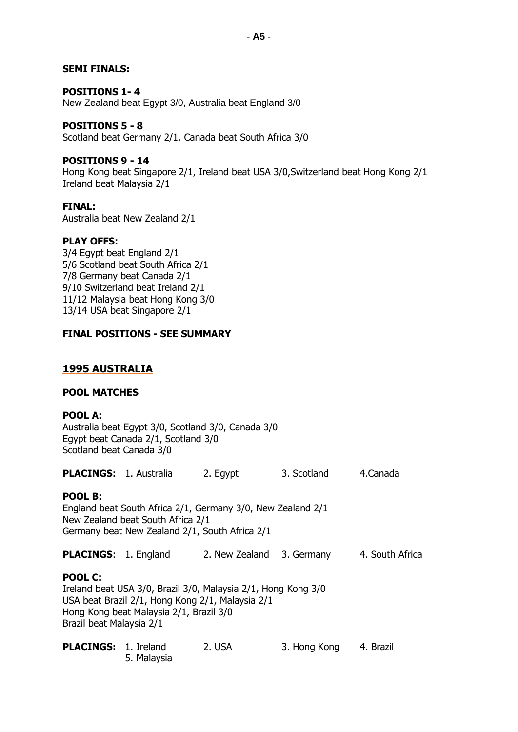### **SEMI FINALS:**

#### **POSITIONS 1- 4**

New Zealand beat Egypt 3/0, Australia beat England 3/0

#### **POSITIONS 5 - 8**

Scotland beat Germany 2/1, Canada beat South Africa 3/0

#### **POSITIONS 9 - 14**

Hong Kong beat Singapore 2/1, Ireland beat USA 3/0,Switzerland beat Hong Kong 2/1 Ireland beat Malaysia 2/1

### **FINAL:**

Australia beat New Zealand 2/1

#### **PLAY OFFS:**

3/4 Egypt beat England 2/1 5/6 Scotland beat South Africa 2/1 7/8 Germany beat Canada 2/1 9/10 Switzerland beat Ireland 2/1 11/12 Malaysia beat Hong Kong 3/0 13/14 USA beat Singapore 2/1

#### **FINAL POSITIONS - SEE SUMMARY**

### **1995 AUSTRALIA**

#### **POOL MATCHES**

### **POOL A:**

Australia beat Egypt 3/0, Scotland 3/0, Canada 3/0 Egypt beat Canada 2/1, Scotland 3/0 Scotland beat Canada 3/0

| <b>PLACINGS: 1. Australia</b>                                                                                                                                                                              |                                                                                                                                                    | 2. Egypt       | 3. Scotland  | 4.Canada        |  |
|------------------------------------------------------------------------------------------------------------------------------------------------------------------------------------------------------------|----------------------------------------------------------------------------------------------------------------------------------------------------|----------------|--------------|-----------------|--|
| POOL B:                                                                                                                                                                                                    | England beat South Africa 2/1, Germany 3/0, New Zealand 2/1<br>New Zealand beat South Africa 2/1<br>Germany beat New Zealand 2/1, South Africa 2/1 |                |              |                 |  |
| <b>PLACINGS: 1. England</b>                                                                                                                                                                                |                                                                                                                                                    | 2. New Zealand | 3. Germany   | 4. South Africa |  |
| <b>POOL C:</b><br>Ireland beat USA 3/0, Brazil 3/0, Malaysia 2/1, Hong Kong 3/0<br>USA beat Brazil 2/1, Hong Kong 2/1, Malaysia 2/1<br>Hong Kong beat Malaysia 2/1, Brazil 3/0<br>Brazil beat Malaysia 2/1 |                                                                                                                                                    |                |              |                 |  |
| <b>PLACINGS: 1. Ireland</b>                                                                                                                                                                                | 5. Malaysia                                                                                                                                        | 2. USA         | 3. Hong Kong | 4. Brazil       |  |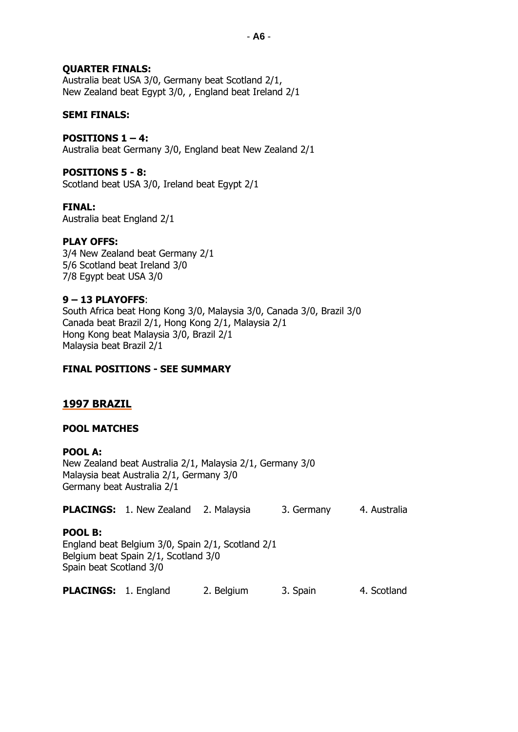### **QUARTER FINALS:**

Australia beat USA 3/0, Germany beat Scotland 2/1, New Zealand beat Egypt 3/0, , England beat Ireland 2/1

#### **SEMI FINALS:**

### **POSITIONS 1 – 4:**

Australia beat Germany 3/0, England beat New Zealand 2/1

### **POSITIONS 5 - 8:**

Scotland beat USA 3/0, Ireland beat Egypt 2/1

#### **FINAL:**

Australia beat England 2/1

#### **PLAY OFFS:**

3/4 New Zealand beat Germany 2/1 5/6 Scotland beat Ireland 3/0 7/8 Egypt beat USA 3/0

#### **9 – 13 PLAYOFFS**:

South Africa beat Hong Kong 3/0, Malaysia 3/0, Canada 3/0, Brazil 3/0 Canada beat Brazil 2/1, Hong Kong 2/1, Malaysia 2/1 Hong Kong beat Malaysia 3/0, Brazil 2/1 Malaysia beat Brazil 2/1

#### **FINAL POSITIONS - SEE SUMMARY**

### **1997 BRAZIL**

#### **POOL MATCHES**

#### **POOL A:**

New Zealand beat Australia 2/1, Malaysia 2/1, Germany 3/0 Malaysia beat Australia 2/1, Germany 3/0 Germany beat Australia 2/1

#### **PLACINGS:** 1. New Zealand 2. Malaysia 3. Germany 4. Australia

#### **POOL B:**

England beat Belgium 3/0, Spain 2/1, Scotland 2/1 Belgium beat Spain 2/1, Scotland 3/0 Spain beat Scotland 3/0

**PLACINGS:** 1. England 2. Belgium 3. Spain 4. Scotland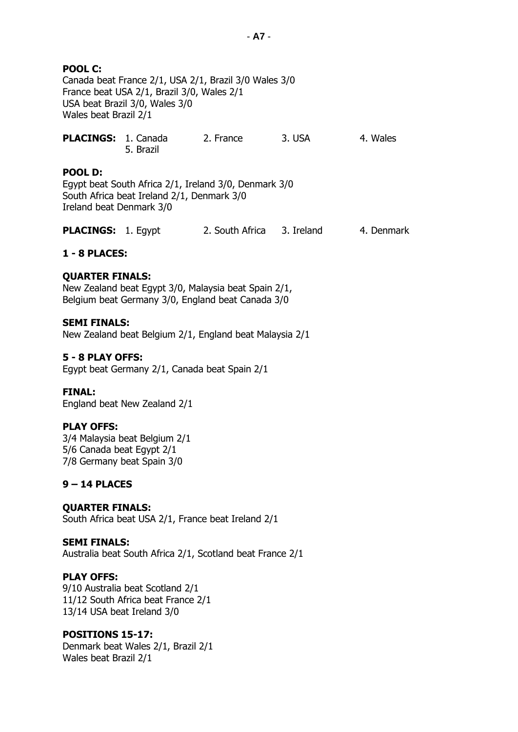### **POOL C:**

Canada beat France 2/1, USA 2/1, Brazil 3/0 Wales 3/0 France beat USA 2/1, Brazil 3/0, Wales 2/1 USA beat Brazil 3/0, Wales 3/0 Wales beat Brazil 2/1

| PLACINGS: 1. Canada |           | 2. France | 3. USA | 4. Wales |
|---------------------|-----------|-----------|--------|----------|
|                     | 5. Brazil |           |        |          |

#### **POOL D:**

Egypt beat South Africa 2/1, Ireland 3/0, Denmark 3/0 South Africa beat Ireland 2/1, Denmark 3/0 Ireland beat Denmark 3/0

| <b>PLACINGS: 1. Egypt</b> | 2. South Africa 3. Ireland |  | 4. Denmark |
|---------------------------|----------------------------|--|------------|
|---------------------------|----------------------------|--|------------|

#### **1 - 8 PLACES:**

#### **QUARTER FINALS:**

New Zealand beat Egypt 3/0, Malaysia beat Spain 2/1, Belgium beat Germany 3/0, England beat Canada 3/0

#### **SEMI FINALS:**

New Zealand beat Belgium 2/1, England beat Malaysia 2/1

#### **5 - 8 PLAY OFFS:**

Egypt beat Germany 2/1, Canada beat Spain 2/1

#### **FINAL:**

England beat New Zealand 2/1

#### **PLAY OFFS:**

3/4 Malaysia beat Belgium 2/1 5/6 Canada beat Egypt 2/1 7/8 Germany beat Spain 3/0

#### **9 – 14 PLACES**

#### **QUARTER FINALS:**

South Africa beat USA 2/1, France beat Ireland 2/1

#### **SEMI FINALS:**

Australia beat South Africa 2/1, Scotland beat France 2/1

#### **PLAY OFFS:**

9/10 Australia beat Scotland 2/1 11/12 South Africa beat France 2/1 13/14 USA beat Ireland 3/0

#### **POSITIONS 15-17:**

Denmark beat Wales 2/1, Brazil 2/1 Wales beat Brazil 2/1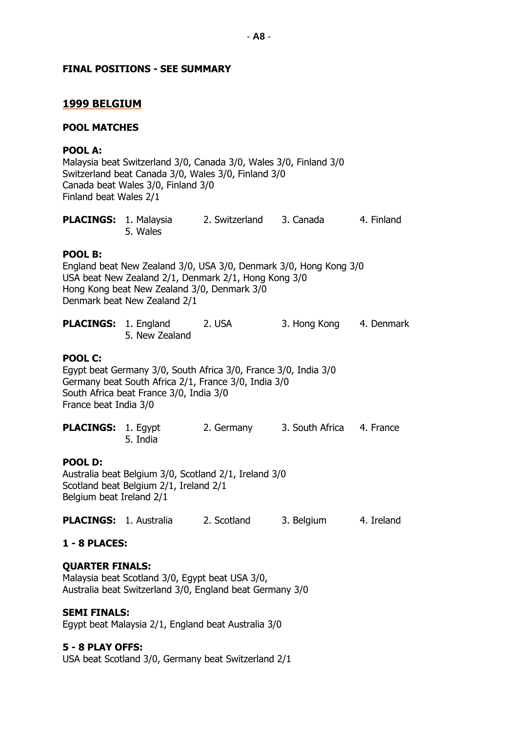#### **FINAL POSITIONS - SEE SUMMARY**

#### **1999 BELGIUM**

#### **POOL MATCHES**

#### **POOL A:**

Malaysia beat Switzerland 3/0, Canada 3/0, Wales 3/0, Finland 3/0 Switzerland beat Canada 3/0, Wales 3/0, Finland 3/0 Canada beat Wales 3/0, Finland 3/0 Finland beat Wales 2/1

| <b>PLACINGS: 1. Malaysia</b> |          | 2. Switzerland | 3. Canada | 4. Finland |
|------------------------------|----------|----------------|-----------|------------|
|                              | 5. Wales |                |           |            |

#### **POOL B:**

England beat New Zealand 3/0, USA 3/0, Denmark 3/0, Hong Kong 3/0 USA beat New Zealand 2/1, Denmark 2/1, Hong Kong 3/0 Hong Kong beat New Zealand 3/0, Denmark 3/0 Denmark beat New Zealand 2/1

| <b>PLACINGS: 1. England</b> |                | 2. USA | 3. Hong Kong | 4. Denmark |
|-----------------------------|----------------|--------|--------------|------------|
|                             | 5. New Zealand |        |              |            |

### **POOL C:**

Egypt beat Germany 3/0, South Africa 3/0, France 3/0, India 3/0 Germany beat South Africa 2/1, France 3/0, India 3/0 South Africa beat France 3/0, India 3/0 France beat India 3/0

| <b>PLACINGS: 1. Egypt</b> |          | 2. Germany | 3. South Africa 4. France |  |
|---------------------------|----------|------------|---------------------------|--|
|                           | 5. India |            |                           |  |

#### **POOL D:**

Australia beat Belgium 3/0, Scotland 2/1, Ireland 3/0 Scotland beat Belgium 2/1, Ireland 2/1 Belgium beat Ireland 2/1

**PLACINGS:** 1. Australia 2. Scotland 3. Belgium 4. Ireland

#### **1 - 8 PLACES:**

#### **QUARTER FINALS:**

Malaysia beat Scotland 3/0, Egypt beat USA 3/0, Australia beat Switzerland 3/0, England beat Germany 3/0

#### **SEMI FINALS:**

Egypt beat Malaysia 2/1, England beat Australia 3/0

#### **5 - 8 PLAY OFFS:**

USA beat Scotland 3/0, Germany beat Switzerland 2/1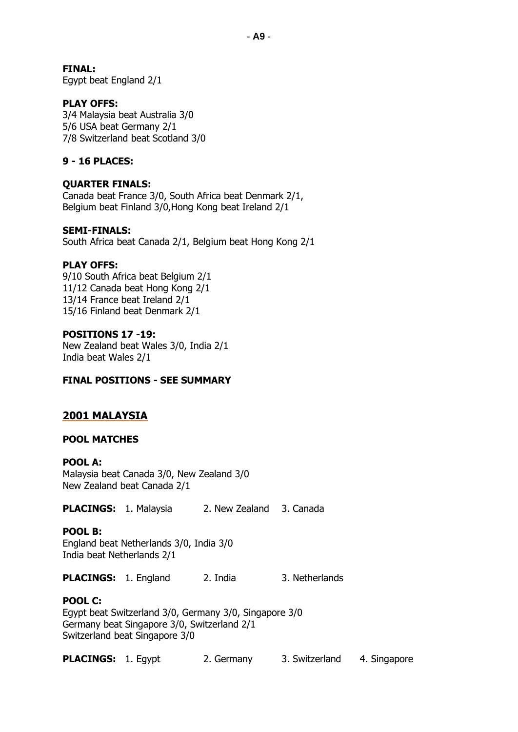#### **FINAL:**

Egypt beat England 2/1

### **PLAY OFFS:**

3/4 Malaysia beat Australia 3/0 5/6 USA beat Germany 2/1 7/8 Switzerland beat Scotland 3/0

### **9 - 16 PLACES:**

#### **QUARTER FINALS:**

Canada beat France 3/0, South Africa beat Denmark 2/1, Belgium beat Finland 3/0,Hong Kong beat Ireland 2/1

#### **SEMI-FINALS:**

South Africa beat Canada 2/1, Belgium beat Hong Kong 2/1

#### **PLAY OFFS:**

9/10 South Africa beat Belgium 2/1 11/12 Canada beat Hong Kong 2/1 13/14 France beat Ireland 2/1 15/16 Finland beat Denmark 2/1

#### **POSITIONS 17 -19:**

New Zealand beat Wales 3/0, India 2/1 India beat Wales 2/1

#### **FINAL POSITIONS - SEE SUMMARY**

### **2001 MALAYSIA**

#### **POOL MATCHES**

#### **POOL A:**

Malaysia beat Canada 3/0, New Zealand 3/0 New Zealand beat Canada 2/1

**PLACINGS:** 1. Malaysia 2. New Zealand 3. Canada

#### **POOL B:**

England beat Netherlands 3/0, India 3/0 India beat Netherlands 2/1

**PLACINGS:** 1. England 2. India 3. Netherlands

#### **POOL C:**

Egypt beat Switzerland 3/0, Germany 3/0, Singapore 3/0 Germany beat Singapore 3/0, Switzerland 2/1 Switzerland beat Singapore 3/0

**PLACINGS:** 1. Egypt 2. Germany 3. Switzerland 4. Singapore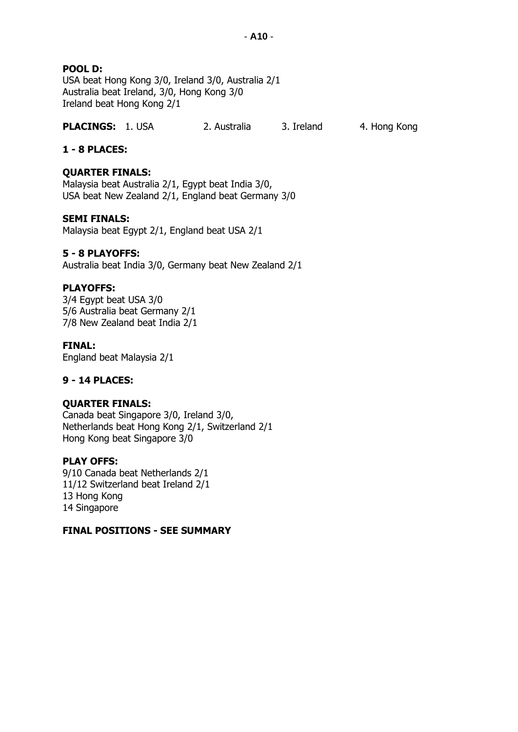### **POOL D:**

USA beat Hong Kong 3/0, Ireland 3/0, Australia 2/1 Australia beat Ireland, 3/0, Hong Kong 3/0 Ireland beat Hong Kong 2/1

### **PLACINGS:** 1. USA 2. Australia 3. Ireland 4. Hong Kong

### **1 - 8 PLACES:**

#### **QUARTER FINALS:**

Malaysia beat Australia 2/1, Egypt beat India 3/0, USA beat New Zealand 2/1, England beat Germany 3/0

#### **SEMI FINALS:**

Malaysia beat Egypt 2/1, England beat USA 2/1

#### **5 - 8 PLAYOFFS:**

Australia beat India 3/0, Germany beat New Zealand 2/1

#### **PLAYOFFS:**

3/4 Egypt beat USA 3/0 5/6 Australia beat Germany 2/1 7/8 New Zealand beat India 2/1

#### **FINAL:**

England beat Malaysia 2/1

#### **9 - 14 PLACES:**

#### **QUARTER FINALS:**

Canada beat Singapore 3/0, Ireland 3/0, Netherlands beat Hong Kong 2/1, Switzerland 2/1 Hong Kong beat Singapore 3/0

#### **PLAY OFFS:**

9/10 Canada beat Netherlands 2/1 11/12 Switzerland beat Ireland 2/1 13 Hong Kong 14 Singapore

#### **FINAL POSITIONS - SEE SUMMARY**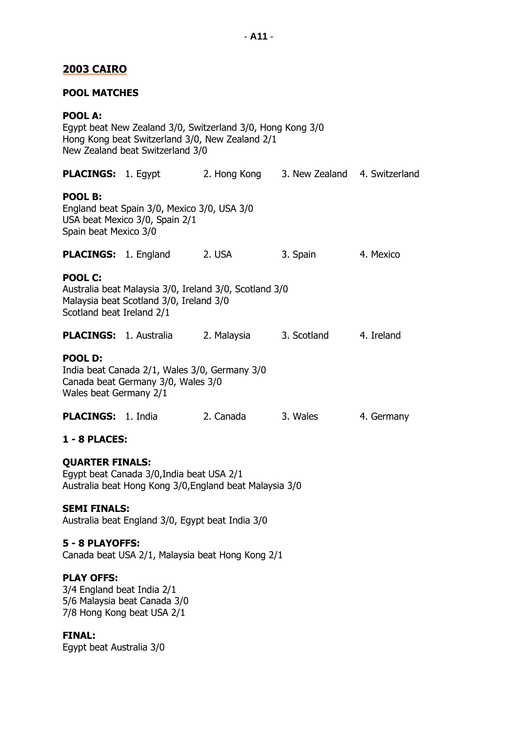### **2003 CAIRO**

#### **POOL MATCHES**

#### **POOL A:**

Egypt beat New Zealand 3/0, Switzerland 3/0, Hong Kong 3/0 Hong Kong beat Switzerland 3/0, New Zealand 2/1 New Zealand beat Switzerland 3/0

|                                                                                                                                 | <b>PLACINGS:</b> 1. Egypt                                                                         |             | 2. Hong Kong 3. New Zealand 4. Switzerland |            |
|---------------------------------------------------------------------------------------------------------------------------------|---------------------------------------------------------------------------------------------------|-------------|--------------------------------------------|------------|
| POOL B:<br>Spain beat Mexico 3/0                                                                                                | England beat Spain 3/0, Mexico 3/0, USA 3/0<br>USA beat Mexico 3/0, Spain 2/1                     |             |                                            |            |
|                                                                                                                                 | <b>PLACINGS:</b> 1. England                                                                       | 2. USA      | 3. Spain                                   | 4. Mexico  |
| <b>POOL C:</b><br>Scotland beat Ireland 2/1                                                                                     | Australia beat Malaysia 3/0, Ireland 3/0, Scotland 3/0<br>Malaysia beat Scotland 3/0, Ireland 3/0 |             |                                            |            |
|                                                                                                                                 | <b>PLACINGS: 1. Australia</b>                                                                     | 2. Malaysia | 3. Scotland                                | 4. Ireland |
| <b>POOL D:</b><br>India beat Canada 2/1, Wales 3/0, Germany 3/0<br>Canada beat Germany 3/0, Wales 3/0<br>Wales beat Germany 2/1 |                                                                                                   |             |                                            |            |
| <b>PLACINGS: 1. India</b>                                                                                                       |                                                                                                   | 2. Canada   | 3. Wales                                   | 4. Germany |
| 1 - 8 PLACES:                                                                                                                   |                                                                                                   |             |                                            |            |
| <b>OUARTER FINALS:</b>                                                                                                          |                                                                                                   |             |                                            |            |

Egypt beat Canada 3/0,India beat USA 2/1 Australia beat Hong Kong 3/0,England beat Malaysia 3/0

#### **SEMI FINALS:**

Australia beat England 3/0, Egypt beat India 3/0

#### **5 - 8 PLAYOFFS:**

Canada beat USA 2/1, Malaysia beat Hong Kong 2/1

### **PLAY OFFS:**

3/4 England beat India 2/1 5/6 Malaysia beat Canada 3/0 7/8 Hong Kong beat USA 2/1

#### **FINAL:**

Egypt beat Australia 3/0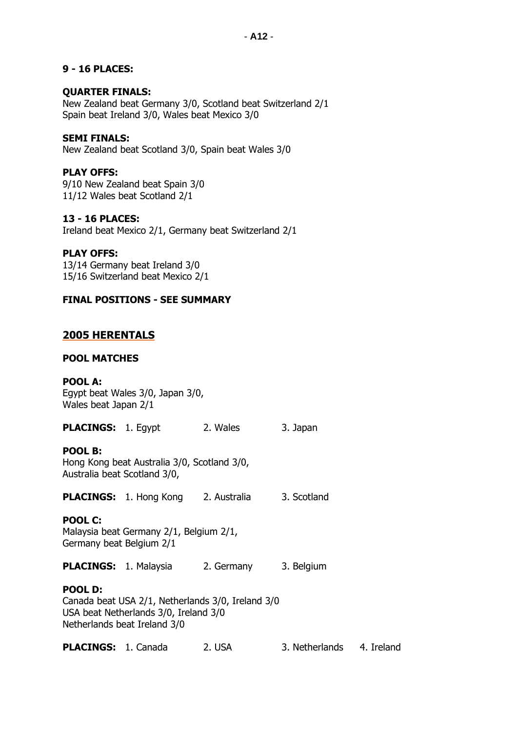### **9 - 16 PLACES:**

### **QUARTER FINALS:**

New Zealand beat Germany 3/0, Scotland beat Switzerland 2/1 Spain beat Ireland 3/0, Wales beat Mexico 3/0

### **SEMI FINALS:**

New Zealand beat Scotland 3/0, Spain beat Wales 3/0

### **PLAY OFFS:**

9/10 New Zealand beat Spain 3/0 11/12 Wales beat Scotland 2/1

### **13 - 16 PLACES:**

Ireland beat Mexico 2/1, Germany beat Switzerland 2/1

### **PLAY OFFS:**

13/14 Germany beat Ireland 3/0 15/16 Switzerland beat Mexico 2/1

### **FINAL POSITIONS - SEE SUMMARY**

### **2005 HERENTALS**

#### **POOL MATCHES**

#### **POOL A:**

Egypt beat Wales 3/0, Japan 3/0, Wales beat Japan 2/1

**PLACINGS:** 1. Egypt 2. Wales 3. Japan

#### **POOL B:**

Hong Kong beat Australia 3/0, Scotland 3/0, Australia beat Scotland 3/0,

PLACINGS: 1. Hong Kong 2. Australia 3. Scotland

### **POOL C:**

Malaysia beat Germany 2/1, Belgium 2/1, Germany beat Belgium 2/1

**PLACINGS:** 1. Malaysia 2. Germany 3. Belgium

### **POOL D:**

Canada beat USA 2/1, Netherlands 3/0, Ireland 3/0 USA beat Netherlands 3/0, Ireland 3/0 Netherlands beat Ireland 3/0

**PLACINGS:** 1. Canada 2. USA 3. Netherlands 4. Ireland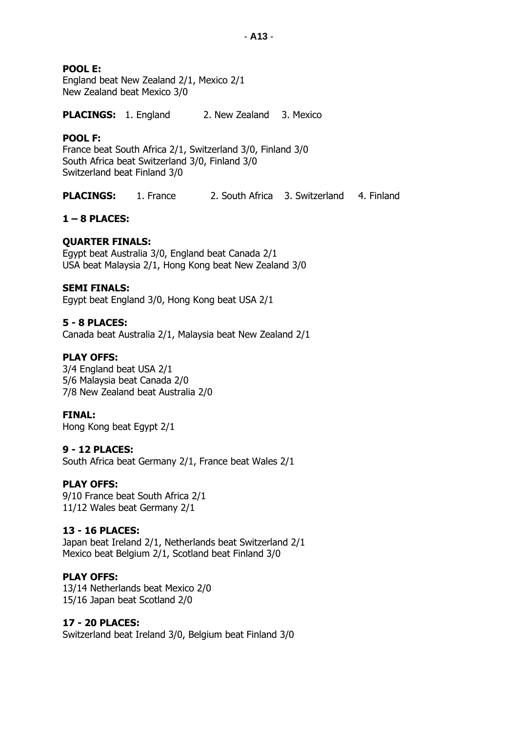- **A13** -

### **POOL E:**

England beat New Zealand 2/1, Mexico 2/1 New Zealand beat Mexico 3/0

**PLACINGS:** 1. England 2. New Zealand 3. Mexico

#### **POOL F:**

France beat South Africa 2/1, Switzerland 3/0, Finland 3/0 South Africa beat Switzerland 3/0, Finland 3/0 Switzerland beat Finland 3/0

**PLACINGS:** 1. France 2. South Africa 3. Switzerland 4. Finland

### **1 – 8 PLACES:**

### **QUARTER FINALS:**

Egypt beat Australia 3/0, England beat Canada 2/1 USA beat Malaysia 2/1, Hong Kong beat New Zealand 3/0

#### **SEMI FINALS:**

Egypt beat England 3/0, Hong Kong beat USA 2/1

### **5 - 8 PLACES:**

Canada beat Australia 2/1, Malaysia beat New Zealand 2/1

### **PLAY OFFS:**

3/4 England beat USA 2/1 5/6 Malaysia beat Canada 2/0 7/8 New Zealand beat Australia 2/0

#### **FINAL:**

Hong Kong beat Egypt 2/1

#### **9 - 12 PLACES:**

South Africa beat Germany 2/1, France beat Wales 2/1

#### **PLAY OFFS:**

9/10 France beat South Africa 2/1 11/12 Wales beat Germany 2/1

#### **13 - 16 PLACES:**

Japan beat Ireland 2/1, Netherlands beat Switzerland 2/1 Mexico beat Belgium 2/1, Scotland beat Finland 3/0

#### **PLAY OFFS:**

13/14 Netherlands beat Mexico 2/0 15/16 Japan beat Scotland 2/0

#### **17 - 20 PLACES:**

Switzerland beat Ireland 3/0, Belgium beat Finland 3/0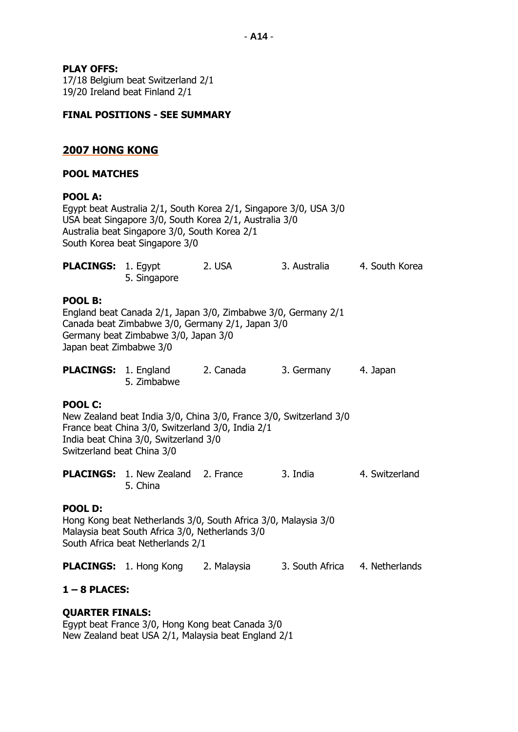### **PLAY OFFS:**

17/18 Belgium beat Switzerland 2/1 19/20 Ireland beat Finland 2/1

### **FINAL POSITIONS - SEE SUMMARY**

### **2007 HONG KONG**

#### **POOL MATCHES**

#### **POOL A:**

Egypt beat Australia 2/1, South Korea 2/1, Singapore 3/0, USA 3/0 USA beat Singapore 3/0, South Korea 2/1, Australia 3/0 Australia beat Singapore 3/0, South Korea 2/1 South Korea beat Singapore 3/0

| <b>PLACINGS: 1. Eqypt</b> |              | 2. USA | 3. Australia | 4. South Korea |
|---------------------------|--------------|--------|--------------|----------------|
|                           | 5. Singapore |        |              |                |

#### **POOL B:**

England beat Canada 2/1, Japan 3/0, Zimbabwe 3/0, Germany 2/1 Canada beat Zimbabwe 3/0, Germany 2/1, Japan 3/0 Germany beat Zimbabwe 3/0, Japan 3/0 Japan beat Zimbabwe 3/0

| <b>PLACINGS: 1. England</b> |             | 2. Canada | 3. Germany | 4. Japan |
|-----------------------------|-------------|-----------|------------|----------|
|                             | 5. Zimbabwe |           |            |          |

#### **POOL C:**

New Zealand beat India 3/0, China 3/0, France 3/0, Switzerland 3/0 France beat China 3/0, Switzerland 3/0, India 2/1 India beat China 3/0, Switzerland 3/0 Switzerland beat China 3/0

**PLACINGS:** 1. New Zealand 2. France 3. India 4. Switzerland 5. China

#### **POOL D:**

Hong Kong beat Netherlands 3/0, South Africa 3/0, Malaysia 3/0 Malaysia beat South Africa 3/0, Netherlands 3/0 South Africa beat Netherlands 2/1

**PLACINGS:** 1. Hong Kong 2. Malaysia 3. South Africa 4. Netherlands

#### **1 – 8 PLACES:**

#### **QUARTER FINALS:**

Egypt beat France 3/0, Hong Kong beat Canada 3/0 New Zealand beat USA 2/1, Malaysia beat England 2/1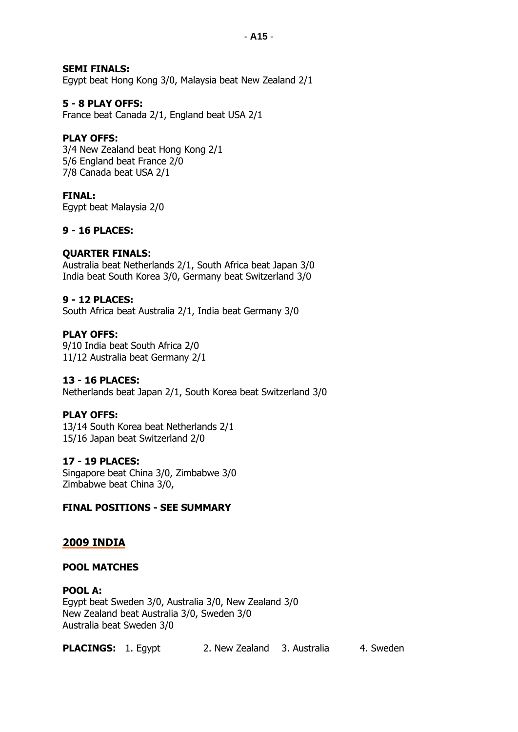### **SEMI FINALS:**

Egypt beat Hong Kong 3/0, Malaysia beat New Zealand 2/1

### **5 - 8 PLAY OFFS:**

France beat Canada 2/1, England beat USA 2/1

### **PLAY OFFS:**

3/4 New Zealand beat Hong Kong 2/1 5/6 England beat France 2/0 7/8 Canada beat USA 2/1

### **FINAL:**

Egypt beat Malaysia 2/0

### **9 - 16 PLACES:**

#### **QUARTER FINALS:**

Australia beat Netherlands 2/1, South Africa beat Japan 3/0 India beat South Korea 3/0, Germany beat Switzerland 3/0

### **9 - 12 PLACES:**

South Africa beat Australia 2/1, India beat Germany 3/0

#### **PLAY OFFS:**

9/10 India beat South Africa 2/0 11/12 Australia beat Germany 2/1

#### **13 - 16 PLACES:**

Netherlands beat Japan 2/1, South Korea beat Switzerland 3/0

#### **PLAY OFFS:**

13/14 South Korea beat Netherlands 2/1 15/16 Japan beat Switzerland 2/0

#### **17 - 19 PLACES:**

Singapore beat China 3/0, Zimbabwe 3/0 Zimbabwe beat China 3/0,

#### **FINAL POSITIONS - SEE SUMMARY**

### **2009 INDIA**

#### **POOL MATCHES**

**POOL A:** Egypt beat Sweden 3/0, Australia 3/0, New Zealand 3/0 New Zealand beat Australia 3/0, Sweden 3/0 Australia beat Sweden 3/0

**PLACINGS:** 1. Egypt 2. New Zealand 3. Australia 4. Sweden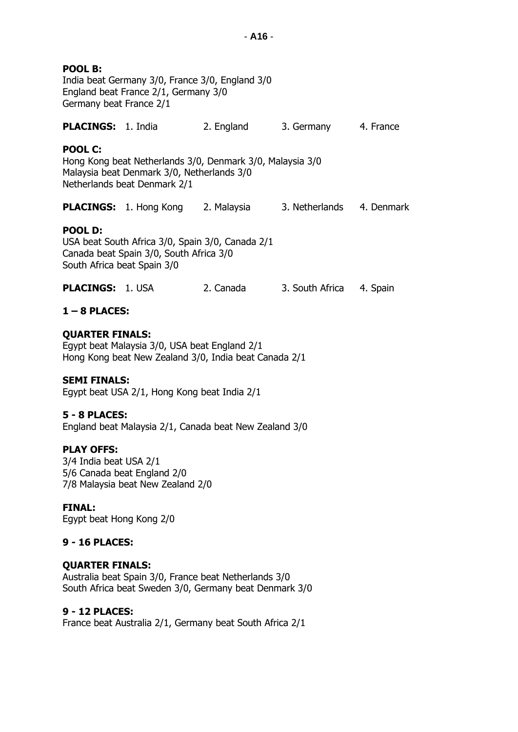| POOL B:<br>India beat Germany 3/0, France 3/0, England 3/0<br>England beat France 2/1, Germany 3/0<br>Germany beat France 2/1                             |                                                                                                                 |           |                          |  |  |  |  |  |  |
|-----------------------------------------------------------------------------------------------------------------------------------------------------------|-----------------------------------------------------------------------------------------------------------------|-----------|--------------------------|--|--|--|--|--|--|
|                                                                                                                                                           | <b>PLACINGS: 1. India</b><br>2. England<br>3. Germany 4. France                                                 |           |                          |  |  |  |  |  |  |
| <b>POOL C:</b><br>Hong Kong beat Netherlands 3/0, Denmark 3/0, Malaysia 3/0<br>Malaysia beat Denmark 3/0, Netherlands 3/0<br>Netherlands beat Denmark 2/1 |                                                                                                                 |           |                          |  |  |  |  |  |  |
|                                                                                                                                                           | <b>PLACINGS:</b> 1. Hong Kong 2. Malaysia 3. Netherlands 4. Denmark                                             |           |                          |  |  |  |  |  |  |
| POOL D:<br>South Africa beat Spain 3/0                                                                                                                    | USA beat South Africa 3/0, Spain 3/0, Canada 2/1<br>Canada beat Spain 3/0, South Africa 3/0                     |           |                          |  |  |  |  |  |  |
| <b>PLACINGS:</b> 1. USA                                                                                                                                   |                                                                                                                 | 2. Canada | 3. South Africa 4. Spain |  |  |  |  |  |  |
| $1 - 8$ PLACES:                                                                                                                                           |                                                                                                                 |           |                          |  |  |  |  |  |  |
| <b>QUARTER FINALS:</b>                                                                                                                                    | Egypt beat Malaysia 3/0, USA beat England 2/1<br>Hong Kong beat New Zealand 3/0, India beat Canada 2/1          |           |                          |  |  |  |  |  |  |
| <b>SEMI FINALS:</b>                                                                                                                                       | Egypt beat USA 2/1, Hong Kong beat India 2/1                                                                    |           |                          |  |  |  |  |  |  |
| $5 - 8$ PLACES:                                                                                                                                           | England beat Malaysia 2/1, Canada beat New Zealand 3/0                                                          |           |                          |  |  |  |  |  |  |
| <b>PLAY OFFS:</b><br>3/4 India beat USA 2/1<br>5/6 Canada beat England 2/0<br>7/8 Malaysia beat New Zealand 2/0                                           |                                                                                                                 |           |                          |  |  |  |  |  |  |
| <b>FINAL:</b><br>Egypt beat Hong Kong 2/0                                                                                                                 |                                                                                                                 |           |                          |  |  |  |  |  |  |
| <b>9 - 16 PLACES:</b>                                                                                                                                     |                                                                                                                 |           |                          |  |  |  |  |  |  |
| <b>QUARTER FINALS:</b>                                                                                                                                    | Australia beat Spain 3/0, France beat Netherlands 3/0<br>South Africa beat Sweden 3/0, Germany beat Denmark 3/0 |           |                          |  |  |  |  |  |  |

# **9 - 12 PLACES:**

France beat Australia 2/1, Germany beat South Africa 2/1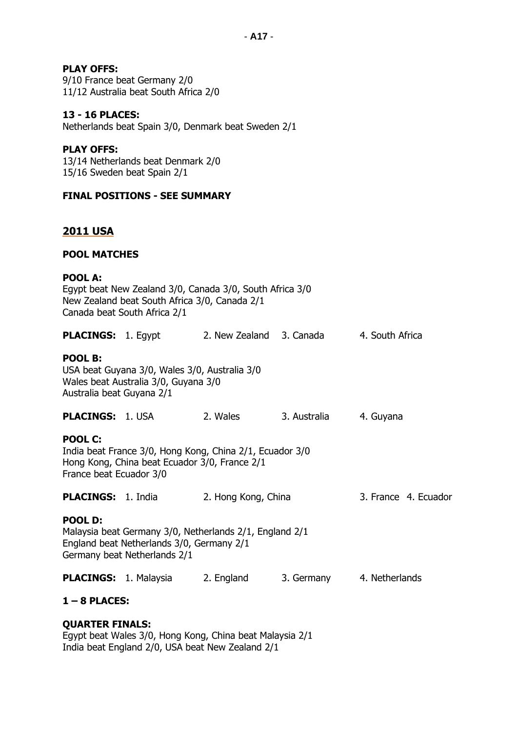### **PLAY OFFS:**

9/10 France beat Germany 2/0 11/12 Australia beat South Africa 2/0

### **13 - 16 PLACES:**

Netherlands beat Spain 3/0, Denmark beat Sweden 2/1

### **PLAY OFFS:**

13/14 Netherlands beat Denmark 2/0 15/16 Sweden beat Spain 2/1

### **FINAL POSITIONS - SEE SUMMARY**

### **2011 USA**

### **POOL MATCHES**

#### **POOL A:**

| Egypt beat New Zealand 3/0, Canada 3/0, South Africa 3/0<br>New Zealand beat South Africa 3/0, Canada 2/1<br>Canada beat South Africa 2/1              |                                                    |          |                           |                      |  |  |  |
|--------------------------------------------------------------------------------------------------------------------------------------------------------|----------------------------------------------------|----------|---------------------------|----------------------|--|--|--|
|                                                                                                                                                        | <b>PLACINGS:</b> 1. Egypt 2. New Zealand 3. Canada |          |                           | 4. South Africa      |  |  |  |
| POOL B:<br>USA beat Guyana 3/0, Wales 3/0, Australia 3/0<br>Wales beat Australia 3/0, Guyana 3/0<br>Australia beat Guyana 2/1                          |                                                    |          |                           |                      |  |  |  |
| <b>PLACINGS:</b> 1. USA                                                                                                                                |                                                    | 2. Wales | 3. Australia              | 4. Guyana            |  |  |  |
| <b>POOL C:</b><br>India beat France 3/0, Hong Kong, China 2/1, Ecuador 3/0<br>Hong Kong, China beat Ecuador 3/0, France 2/1<br>France beat Ecuador 3/0 |                                                    |          |                           |                      |  |  |  |
|                                                                                                                                                        | <b>PLACINGS:</b> 1. India 2. Hong Kong, China      |          |                           | 3. France 4. Ecuador |  |  |  |
| <b>POOL D:</b><br>Malaysia beat Germany 3/0, Netherlands 2/1, England 2/1<br>England beat Netherlands 3/0, Germany 2/1<br>Germany beat Netherlands 2/1 |                                                    |          |                           |                      |  |  |  |
|                                                                                                                                                        | <b>PLACINGS:</b> 1. Malaysia 2. England            |          | 3. Germany 4. Netherlands |                      |  |  |  |
| $1 - 8$ PLACES:                                                                                                                                        |                                                    |          |                           |                      |  |  |  |
| <b>OUARTER FINALS:</b>                                                                                                                                 |                                                    |          |                           |                      |  |  |  |

Egypt beat Wales 3/0, Hong Kong, China beat Malaysia 2/1 India beat England 2/0, USA beat New Zealand 2/1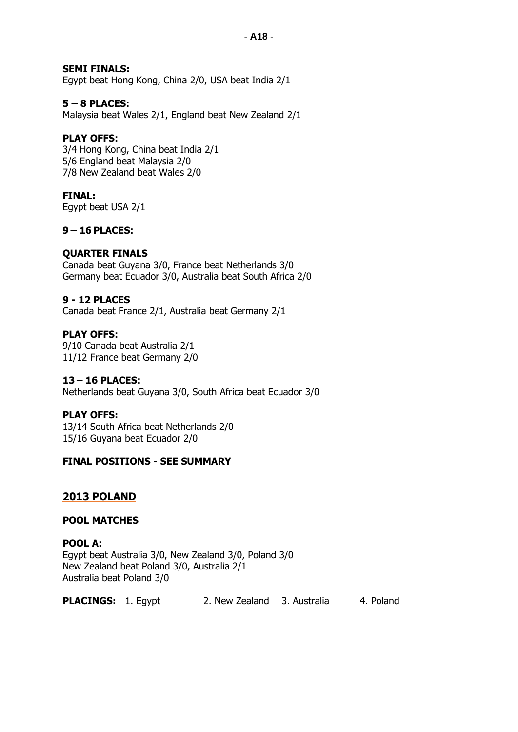### **SEMI FINALS:**

Egypt beat Hong Kong, China 2/0, USA beat India 2/1

### **5 – 8 PLACES:**

Malaysia beat Wales 2/1, England beat New Zealand 2/1

### **PLAY OFFS:**

3/4 Hong Kong, China beat India 2/1 5/6 England beat Malaysia 2/0 7/8 New Zealand beat Wales 2/0

### **FINAL:**

Egypt beat USA 2/1

### **9 – 16 PLACES:**

### **QUARTER FINALS**

Canada beat Guyana 3/0, France beat Netherlands 3/0 Germany beat Ecuador 3/0, Australia beat South Africa 2/0

### **9 - 12 PLACES**

Canada beat France 2/1, Australia beat Germany 2/1

#### **PLAY OFFS:**

9/10 Canada beat Australia 2/1 11/12 France beat Germany 2/0

#### **13 – 16 PLACES:**

Netherlands beat Guyana 3/0, South Africa beat Ecuador 3/0

#### **PLAY OFFS:**

13/14 South Africa beat Netherlands 2/0 15/16 Guyana beat Ecuador 2/0

#### **FINAL POSITIONS - SEE SUMMARY**

#### **2013 POLAND**

#### **POOL MATCHES**

### **POOL A:**

Egypt beat Australia 3/0, New Zealand 3/0, Poland 3/0 New Zealand beat Poland 3/0, Australia 2/1 Australia beat Poland 3/0

**PLACINGS:** 1. Egypt 2. New Zealand 3. Australia 4. Poland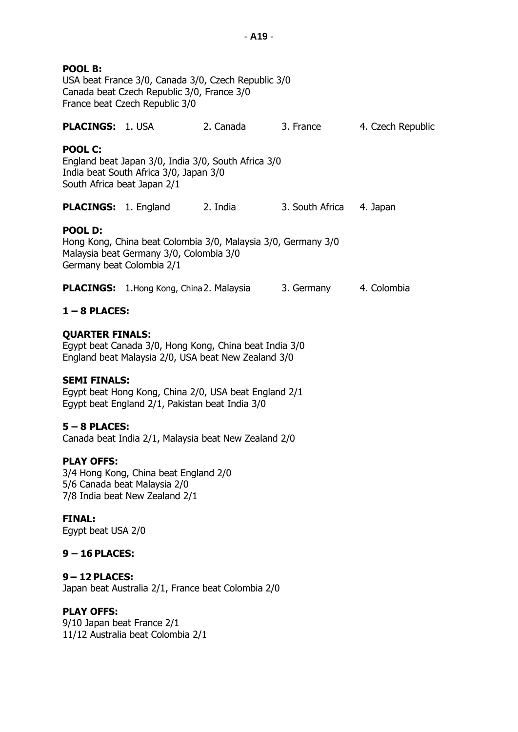| POOL B:<br>USA beat France 3/0, Canada 3/0, Czech Republic 3/0<br>Canada beat Czech Republic 3/0, France 3/0<br>France beat Czech Republic 3/0 |                                                                                                                                       |           |                          |                   |  |  |
|------------------------------------------------------------------------------------------------------------------------------------------------|---------------------------------------------------------------------------------------------------------------------------------------|-----------|--------------------------|-------------------|--|--|
| <b>PLACINGS:</b> 1. USA                                                                                                                        |                                                                                                                                       | 2. Canada | 3. France                | 4. Czech Republic |  |  |
| <b>POOL C:</b>                                                                                                                                 | England beat Japan 3/0, India 3/0, South Africa 3/0<br>India beat South Africa 3/0, Japan 3/0<br>South Africa beat Japan 2/1          |           |                          |                   |  |  |
|                                                                                                                                                | <b>PLACINGS:</b> 1. England                                                                                                           | 2. India  | 3. South Africa 4. Japan |                   |  |  |
| POOL D:                                                                                                                                        | Hong Kong, China beat Colombia 3/0, Malaysia 3/0, Germany 3/0<br>Malaysia beat Germany 3/0, Colombia 3/0<br>Germany beat Colombia 2/1 |           |                          |                   |  |  |
|                                                                                                                                                | <b>PLACINGS:</b> 1.Hong Kong, China 2. Malaysia                                                                                       |           | 3. Germany 4. Colombia   |                   |  |  |
| $1 - 8$ PLACES:                                                                                                                                |                                                                                                                                       |           |                          |                   |  |  |
| <b>QUARTER FINALS:</b>                                                                                                                         | Egypt beat Canada 3/0, Hong Kong, China beat India 3/0<br>England beat Malaysia 2/0, USA beat New Zealand 3/0                         |           |                          |                   |  |  |
| <b>SEMI FINALS:</b><br>Egypt beat Hong Kong, China 2/0, USA beat England 2/1<br>Egypt beat England 2/1, Pakistan beat India 3/0                |                                                                                                                                       |           |                          |                   |  |  |
| $5 - 8$ PLACES:<br>Canada beat India 2/1, Malaysia beat New Zealand 2/0                                                                        |                                                                                                                                       |           |                          |                   |  |  |
| <b>PLAY OFFS:</b><br>3/4 Hong Kong, China beat England 2/0<br>5/6 Canada beat Malaysia 2/0<br>7/8 India beat New Zealand 2/1                   |                                                                                                                                       |           |                          |                   |  |  |
| <b>FINAL:</b>                                                                                                                                  |                                                                                                                                       |           |                          |                   |  |  |

Egypt beat USA 2/0

### **9 – 16 PLACES:**

# **9 – 12 PLACES:**

Japan beat Australia 2/1, France beat Colombia 2/0

### **PLAY OFFS:**

9/10 Japan beat France 2/1 11/12 Australia beat Colombia 2/1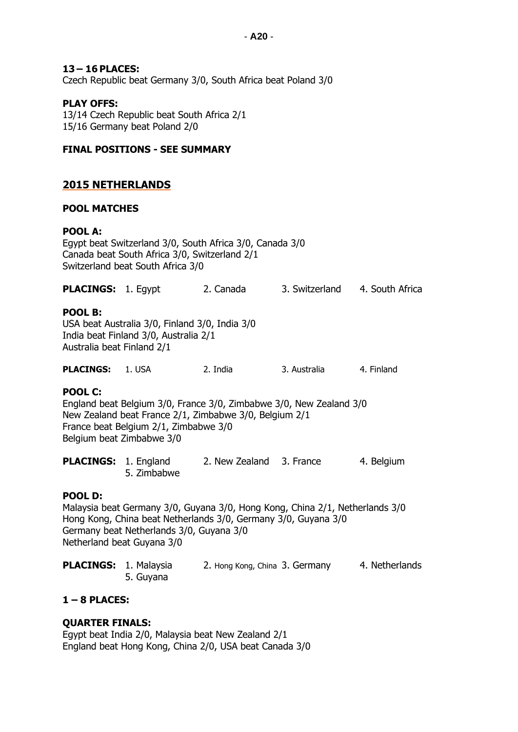#### **13 – 16 PLACES:**

Czech Republic beat Germany 3/0, South Africa beat Poland 3/0

### **PLAY OFFS:**

13/14 Czech Republic beat South Africa 2/1 15/16 Germany beat Poland 2/0

#### **FINAL POSITIONS - SEE SUMMARY**

### **2015 NETHERLANDS**

#### **POOL MATCHES**

#### **POOL A:**

Egypt beat Switzerland 3/0, South Africa 3/0, Canada 3/0 Canada beat South Africa 3/0, Switzerland 2/1 Switzerland beat South Africa 3/0

| <b>PLACINGS: 1. Egypt</b> | 2. Canada | 3. Switzerland | 4. South Africa |
|---------------------------|-----------|----------------|-----------------|
|                           |           |                |                 |

#### **POOL B:**

USA beat Australia 3/0, Finland 3/0, India 3/0 India beat Finland 3/0, Australia 2/1 Australia beat Finland 2/1

| <b>PLACINGS:</b> | 1. USA | 2. India | 3. Australia | 4. Finland |
|------------------|--------|----------|--------------|------------|
|------------------|--------|----------|--------------|------------|

#### **POOL C:**

England beat Belgium 3/0, France 3/0, Zimbabwe 3/0, New Zealand 3/0 New Zealand beat France 2/1, Zimbabwe 3/0, Belgium 2/1 France beat Belgium 2/1, Zimbabwe 3/0 Belgium beat Zimbabwe 3/0

| <b>PLACINGS: 1. England</b> |             | 2. New Zealand 3. France | 4. Belgium |
|-----------------------------|-------------|--------------------------|------------|
|                             | 5. Zimbabwe |                          |            |

#### **POOL D:**

Malaysia beat Germany 3/0, Guyana 3/0, Hong Kong, China 2/1, Netherlands 3/0 Hong Kong, China beat Netherlands 3/0, Germany 3/0, Guyana 3/0 Germany beat Netherlands 3/0, Guyana 3/0 Netherland beat Guyana 3/0

| <b>PLACINGS: 1. Malaysia</b> |           | 2. Hong Kong, China 3. Germany | 4. Netherlands |
|------------------------------|-----------|--------------------------------|----------------|
|                              | 5. Guyana |                                |                |

#### **1 – 8 PLACES:**

#### **QUARTER FINALS:**

Egypt beat India 2/0, Malaysia beat New Zealand 2/1 England beat Hong Kong, China 2/0, USA beat Canada 3/0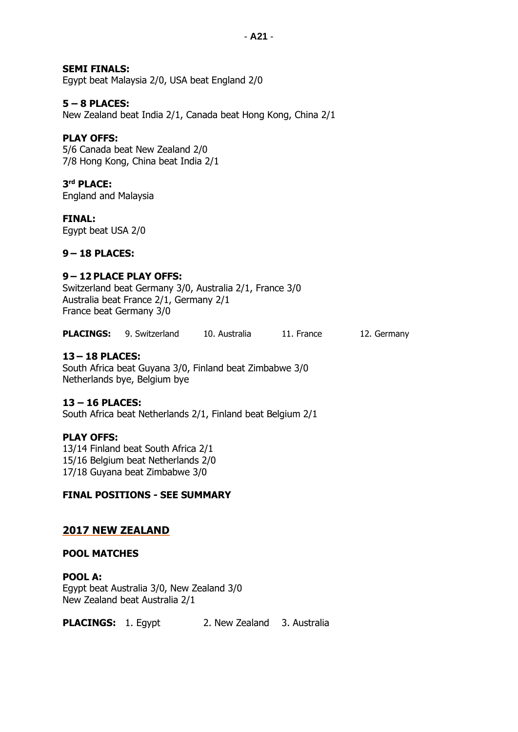### **SEMI FINALS:**

Egypt beat Malaysia 2/0, USA beat England 2/0

#### **5 – 8 PLACES:**

New Zealand beat India 2/1, Canada beat Hong Kong, China 2/1

#### **PLAY OFFS:**

5/6 Canada beat New Zealand 2/0 7/8 Hong Kong, China beat India 2/1

### **3 rd PLACE:**

England and Malaysia

#### **FINAL:**

Egypt beat USA 2/0

### **9 – 18 PLACES:**

### **9 – 12 PLACE PLAY OFFS:**

Switzerland beat Germany 3/0, Australia 2/1, France 3/0 Australia beat France 2/1, Germany 2/1 France beat Germany 3/0

**PLACINGS:** 9. Switzerland 10. Australia 11. France 12. Germany

#### **13 – 18 PLACES:**

South Africa beat Guyana 3/0, Finland beat Zimbabwe 3/0 Netherlands bye, Belgium bye

#### **13 – 16 PLACES:**

South Africa beat Netherlands 2/1, Finland beat Belgium 2/1

#### **PLAY OFFS:**

13/14 Finland beat South Africa 2/1 15/16 Belgium beat Netherlands 2/0 17/18 Guyana beat Zimbabwe 3/0

#### **FINAL POSITIONS - SEE SUMMARY**

#### **2017 NEW ZEALAND**

#### **POOL MATCHES**

**POOL A:** Egypt beat Australia 3/0, New Zealand 3/0 New Zealand beat Australia 2/1

**PLACINGS:** 1. Egypt 2. New Zealand 3. Australia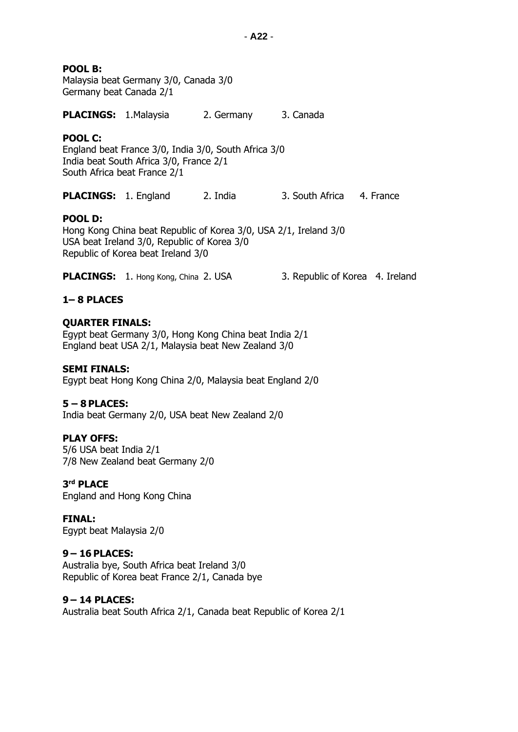**POOL B:**

Malaysia beat Germany 3/0, Canada 3/0 Germany beat Canada 2/1

**PLACINGS:** 1.Malaysia 2. Germany 3. Canada

### **POOL C:**

England beat France 3/0, India 3/0, South Africa 3/0 India beat South Africa 3/0, France 2/1 South Africa beat France 2/1

**PLACINGS:** 1. England 2. India 3. South Africa 4. France

### **POOL D:**

Hong Kong China beat Republic of Korea 3/0, USA 2/1, Ireland 3/0 USA beat Ireland 3/0, Republic of Korea 3/0 Republic of Korea beat Ireland 3/0

**PLACINGS:** 1. Hong Kong, China 2. USA 3. Republic of Korea 4. Ireland

### **1– 8 PLACES**

### **QUARTER FINALS:**

Egypt beat Germany 3/0, Hong Kong China beat India 2/1 England beat USA 2/1, Malaysia beat New Zealand 3/0

#### **SEMI FINALS:**

Egypt beat Hong Kong China 2/0, Malaysia beat England 2/0

### **5 – 8 PLACES:**

India beat Germany 2/0, USA beat New Zealand 2/0

### **PLAY OFFS:**

5/6 USA beat India 2/1 7/8 New Zealand beat Germany 2/0

**3 rd PLACE** England and Hong Kong China

**FINAL:** Egypt beat Malaysia 2/0

### **9 – 16 PLACES:**

Australia bye, South Africa beat Ireland 3/0 Republic of Korea beat France 2/1, Canada bye

#### **9 – 14 PLACES:**

Australia beat South Africa 2/1, Canada beat Republic of Korea 2/1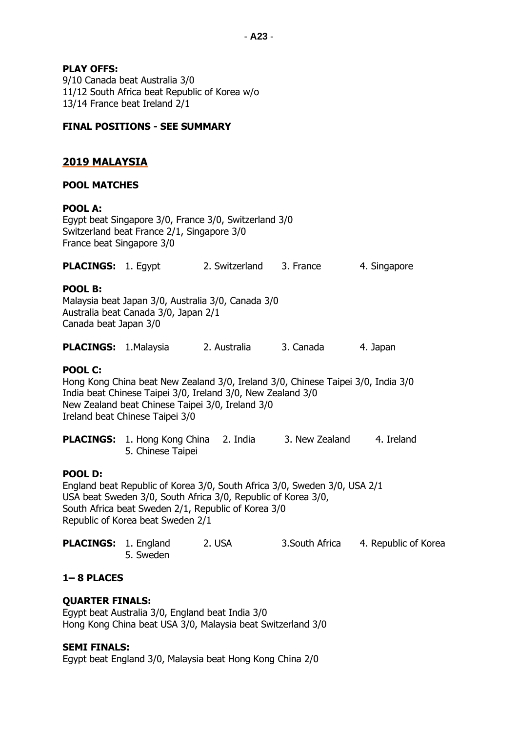### **PLAY OFFS:**

9/10 Canada beat Australia 3/0 11/12 South Africa beat Republic of Korea w/o 13/14 France beat Ireland 2/1

#### **FINAL POSITIONS - SEE SUMMARY**

### **2019 MALAYSIA**

#### **POOL MATCHES**

### **POOL A:**

Egypt beat Singapore 3/0, France 3/0, Switzerland 3/0 Switzerland beat France 2/1, Singapore 3/0 France beat Singapore 3/0

| <b>PLACINGS: 1. Egypt</b> |  | 2. Switzerland | 3. France | 4. Singapore |
|---------------------------|--|----------------|-----------|--------------|
|---------------------------|--|----------------|-----------|--------------|

#### **POOL B:**

Malaysia beat Japan 3/0, Australia 3/0, Canada 3/0 Australia beat Canada 3/0, Japan 2/1 Canada beat Japan 3/0

| <b>PLACINGS:</b><br>1. Malaysia<br>3. Canada<br>2. Australia | 4. Japan |
|--------------------------------------------------------------|----------|
|--------------------------------------------------------------|----------|

#### **POOL C:**

Hong Kong China beat New Zealand 3/0, Ireland 3/0, Chinese Taipei 3/0, India 3/0 India beat Chinese Taipei 3/0, Ireland 3/0, New Zealand 3/0 New Zealand beat Chinese Taipei 3/0, Ireland 3/0 Ireland beat Chinese Taipei 3/0

PLACINGS: 1. Hong Kong China 2. India 3. New Zealand 4. Ireland 5. Chinese Taipei

#### **POOL D:**

England beat Republic of Korea 3/0, South Africa 3/0, Sweden 3/0, USA 2/1 USA beat Sweden 3/0, South Africa 3/0, Republic of Korea 3/0, South Africa beat Sweden 2/1, Republic of Korea 3/0 Republic of Korea beat Sweden 2/1

| <b>PLACINGS: 1. England</b> |           | 2. USA | 3. South Africa | 4. Republic of Korea |
|-----------------------------|-----------|--------|-----------------|----------------------|
|                             | 5. Sweden |        |                 |                      |

#### **1– 8 PLACES**

#### **QUARTER FINALS:**

Egypt beat Australia 3/0, England beat India 3/0 Hong Kong China beat USA 3/0, Malaysia beat Switzerland 3/0

#### **SEMI FINALS:**

Egypt beat England 3/0, Malaysia beat Hong Kong China 2/0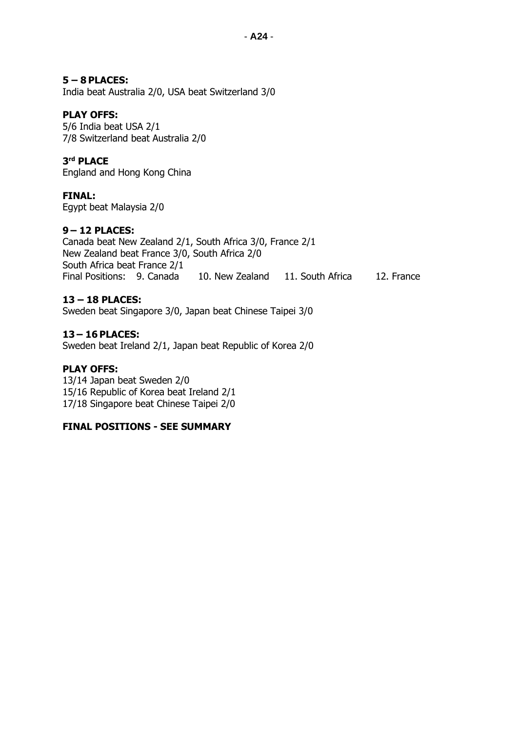### **5 – 8 PLACES:**

India beat Australia 2/0, USA beat Switzerland 3/0

### **PLAY OFFS:**

5/6 India beat USA 2/1 7/8 Switzerland beat Australia 2/0

### **3 rd PLACE**

England and Hong Kong China

### **FINAL:**

Egypt beat Malaysia 2/0

### **9 – 12 PLACES:**

Canada beat New Zealand 2/1, South Africa 3/0, France 2/1 New Zealand beat France 3/0, South Africa 2/0 South Africa beat France 2/1 Final Positions: 9. Canada 10. New Zealand 11. South Africa 12. France

### **13 – 18 PLACES:**

Sweden beat Singapore 3/0, Japan beat Chinese Taipei 3/0

### **13 – 16 PLACES:**

Sweden beat Ireland 2/1, Japan beat Republic of Korea 2/0

### **PLAY OFFS:**

13/14 Japan beat Sweden 2/0 15/16 Republic of Korea beat Ireland 2/1 17/18 Singapore beat Chinese Taipei 2/0

### **FINAL POSITIONS - SEE SUMMARY**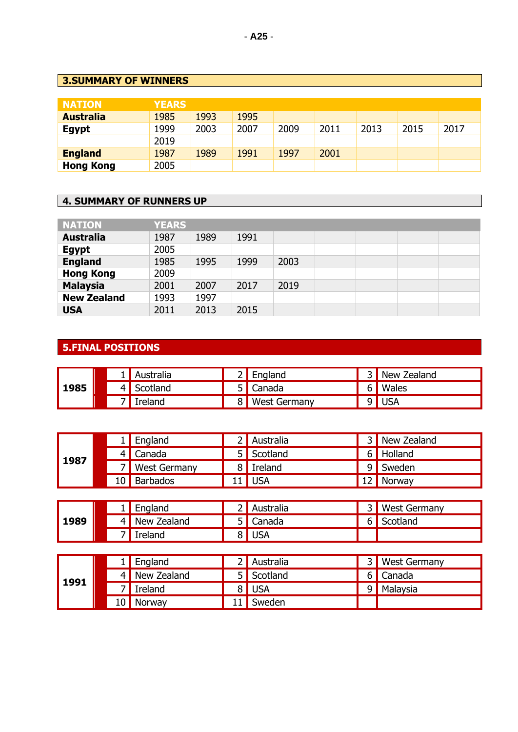# **3.SUMMARY OF WINNERS**

| <b>NATION</b>    | <b>YEARS</b> |      |      |      |      |      |      |      |
|------------------|--------------|------|------|------|------|------|------|------|
| <b>Australia</b> | 1985         | 1993 | 1995 |      |      |      |      |      |
| <b>Egypt</b>     | 1999         | 2003 | 2007 | 2009 | 2011 | 2013 | 2015 | 2017 |
|                  | 2019         |      |      |      |      |      |      |      |
| <b>England</b>   | 1987         | 1989 | 1991 | 1997 | 2001 |      |      |      |
| <b>Hong Kong</b> | 2005         |      |      |      |      |      |      |      |

# **4. SUMMARY OF RUNNERS UP**

| <b>NATION</b>      | <b>YEARS</b> |      |      |      |  |  |
|--------------------|--------------|------|------|------|--|--|
| <b>Australia</b>   | 1987         | 1989 | 1991 |      |  |  |
| <b>Egypt</b>       | 2005         |      |      |      |  |  |
| <b>England</b>     | 1985         | 1995 | 1999 | 2003 |  |  |
| <b>Hong Kong</b>   | 2009         |      |      |      |  |  |
| <b>Malaysia</b>    | 2001         | 2007 | 2017 | 2019 |  |  |
| <b>New Zealand</b> | 1993         | 1997 |      |      |  |  |
| <b>USA</b>         | 2011         | 2013 | 2015 |      |  |  |

# **5.FINAL POSITIONS**

|      |  | Australia |                | $2$ England         | New Zealand |
|------|--|-----------|----------------|---------------------|-------------|
| 1985 |  | Scotland  |                | 5 Canada            | 6   Wales   |
|      |  | Ireland   | 8 <sup>1</sup> | <b>West Germany</b> | 9 USA       |

|      |  | England             | 2 Australia |              | 3 New Zealand |
|------|--|---------------------|-------------|--------------|---------------|
| 1987 |  | 4   Canada          | 5 Scotland  |              | 6 Holland     |
|      |  | <b>West Germany</b> | 8 Ireland   | $\mathsf{q}$ | Sweden        |
|      |  | 10 Barbados         | $11$ USA    |              | Norway        |

|      |  | England       | ' Australia | <b>Nest Germany</b> |
|------|--|---------------|-------------|---------------------|
| 1989 |  | 4 New Zealand | 5 Canada    | Scotland            |
|      |  | Ireland       | 8 USA       |                     |

|      |      | England     | Australia |   | <b>West Germany</b> |
|------|------|-------------|-----------|---|---------------------|
|      |      | New Zealand | Scotland  |   | 6 Canada            |
| 1991 |      | Ireland     | 8 USA     | q | Malaysia            |
|      | 10 I | Norway      | Sweden    |   |                     |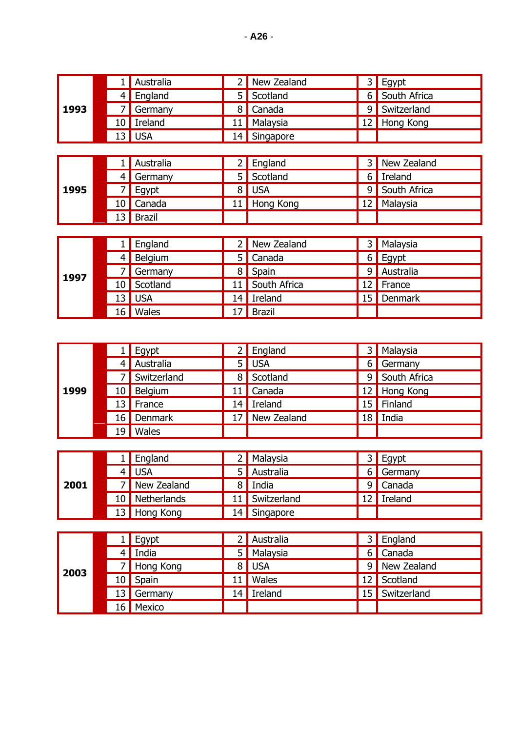|      |   | Australia |    | New Zealand |    | Egypt        |
|------|---|-----------|----|-------------|----|--------------|
|      | 4 | England   | 5  | Scotland    | 6  | South Africa |
| 1993 |   | Germany   | 8  | Canada      | 9  | Switzerland  |
|      |   | Ireland   | 11 | Malaysia    | 12 | Hong Kong    |
|      |   | $13$ USA  | 14 | Singapore   |    |              |
|      |   |           |    |             |    |              |
|      |   | Australia |    | England     |    | New Zealand  |
|      |   |           |    |             |    |              |

|      |  | 4 Germany | 5 Scotland   | 6 Ireland      |
|------|--|-----------|--------------|----------------|
| 1995 |  | $7$ Egypt | 8 USA        | 9 South Africa |
|      |  | 10 Canada | 11 Hong Kong | 12 Malaysia    |
|      |  | 13 Brazil |              |                |

|      |    |          | England     |    | New Zealand   | 3 l | Malaysia  |
|------|----|----------|-------------|----|---------------|-----|-----------|
|      |    |          | Belgium     | 5. | Canada        | 6 I | Egypt     |
| 1997 |    |          | Germany     | 8  | Spain         | 9   | Australia |
|      |    |          | 10 Scotland |    | South Africa  |     | France    |
|      |    | $13$ USA |             | 14 | Ireland       | 15  | Denmark   |
|      | L6 |          | Wales       |    | <b>Brazil</b> |     |           |

|      |    | Egypt       |   | $2$ England    | ا 3             | Malaysia     |
|------|----|-------------|---|----------------|-----------------|--------------|
|      |    | Australia   |   | 5 USA          | 6               | Germany      |
|      |    | Switzerland | 8 | Scotland       | 9               | South Africa |
| 1999 | 10 | Belgium     |   | 11   Canada    |                 | 12 Hong Kong |
|      |    | 13   France |   | 14 Ireland     | 15 <sub>1</sub> | Finland      |
|      |    | 16 Denmark  |   | 17 New Zealand | 18              | India        |
|      | 19 | Wales       |   |                |                 |              |

|      |                 | $1$ England    |    | Malaysia    |   | $3$ Egypt |
|------|-----------------|----------------|----|-------------|---|-----------|
|      |                 | USA            |    | Australia   |   | 6 Germany |
| 2001 |                 | New Zealand    | Ω  | India       | 9 | Canada    |
|      |                 | 10 Netherlands |    | Switzerland |   | Ireland   |
|      | 13 <sup>1</sup> | Hong Kong      | 14 | Singapore   |   |           |

|      |    | Egypt                  |    | Australia | 3.  | England     |
|------|----|------------------------|----|-----------|-----|-------------|
|      | 4  | $\vert$ India          | 5  | Malaysia  | 6   | Canada      |
| 2003 |    | Hong Kong              |    | 8 USA     | 9 I | New Zealand |
|      |    | 10 Spain               |    | Wales     | 12  | Scotland    |
|      | 13 | $\blacksquare$ Germany | 14 | Ireland   | 15  | Switzerland |
|      | l6 | Mexico                 |    |           |     |             |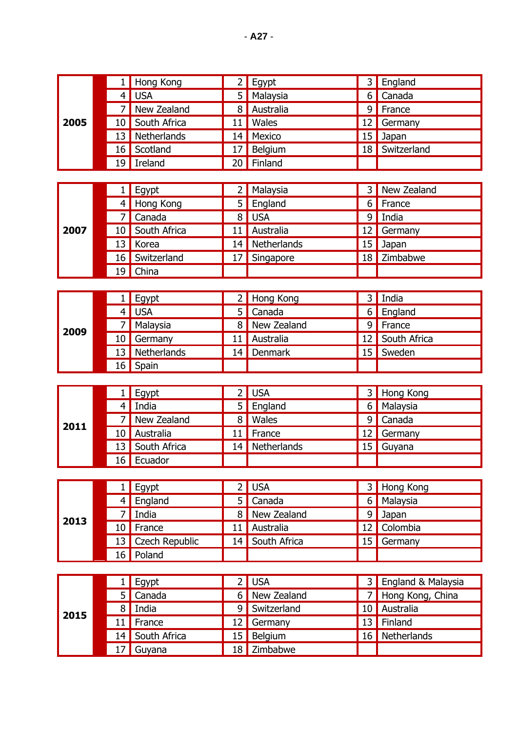|      | 1              | Hong Kong      | $\overline{2}$ | Egypt        | 3  | England            |
|------|----------------|----------------|----------------|--------------|----|--------------------|
|      | $\overline{4}$ | <b>USA</b>     | 5              | Malaysia     | 6  | Canada             |
|      | 7              | New Zealand    | 8              | Australia    | 9  | France             |
| 2005 | 10             | South Africa   | 11             | Wales        | 12 | Germany            |
|      | 13             | Netherlands    | 14             | Mexico       | 15 | Japan              |
|      | 16             | Scotland       | 17             | Belgium      | 18 | Switzerland        |
|      | 19             | Ireland        | 20             | Finland      |    |                    |
|      |                |                |                |              |    |                    |
|      | 1 <sub>1</sub> | Egypt          | 2              | Malaysia     | 3  | New Zealand        |
|      | 4              | Hong Kong      | 5              | England      | 6  | France             |
|      | 7              | Canada         | 8              | <b>USA</b>   | 9  | India              |
| 2007 | 10             | South Africa   | 11             | Australia    | 12 | Germany            |
|      | 13             | Korea          | 14             | Netherlands  | 15 | Japan              |
|      | 16             | Switzerland    | 17             | Singapore    | 18 | Zimbabwe           |
|      | 19             | China          |                |              |    |                    |
|      |                |                |                |              |    |                    |
|      | 1              | Egypt          | $\overline{2}$ | Hong Kong    | 3  | India              |
|      | 4              | <b>USA</b>     | 5              | Canada       | 6  | England            |
|      | 7              | Malaysia       | 8              | New Zealand  | 9  | France             |
| 2009 | 10             | Germany        | 11             | Australia    | 12 | South Africa       |
|      | 13             | Netherlands    | 14             | Denmark      | 15 | Sweden             |
|      | 16             | Spain          |                |              |    |                    |
|      |                |                |                |              |    |                    |
|      | 1              | Egypt          | $\overline{2}$ | <b>USA</b>   | 3  | Hong Kong          |
|      | $\overline{4}$ | India          | 5              | England      | 6  | Malaysia           |
| 2011 | 7              | New Zealand    | 8              | Wales        | 9  | Canada             |
|      | 10             | Australia      | 11             | France       | 12 | Germany            |
|      | 13             | South Africa   | 14             | Netherlands  | 15 | Guyana             |
|      |                | 16 Ecuador     |                |              |    |                    |
|      |                |                |                |              |    |                    |
|      | 1 <sub>1</sub> | Egypt          | 2              | USA          | 3  | Hong Kong          |
|      | 4              | England        | 5              | Canada       | 6  | Malaysia           |
| 2013 | 7              | India          | 8              | New Zealand  | 9  | Japan              |
|      | 10             | France         | 11             | Australia    | 12 | Colombia           |
|      | 13             | Czech Republic | 14             | South Africa | 15 | Germany            |
|      | 16             | Poland         |                |              |    |                    |
|      |                |                |                |              |    |                    |
|      | 1              | Egypt          | $\overline{2}$ | <b>USA</b>   | 3  | England & Malaysia |
|      | 5              | Canada         | 6              | New Zealand  | 7  | Hong Kong, China   |
|      | 8              | India          | 9              | Switzerland  | 10 | Australia          |
| 2015 | 11             | France         | 12             | Germany      | 13 | Finland            |
|      | 14             | South Africa   | 15             | Belgium      | 16 | Netherlands        |
|      | 17             | Guyana         |                | 18 Zimbabwe  |    |                    |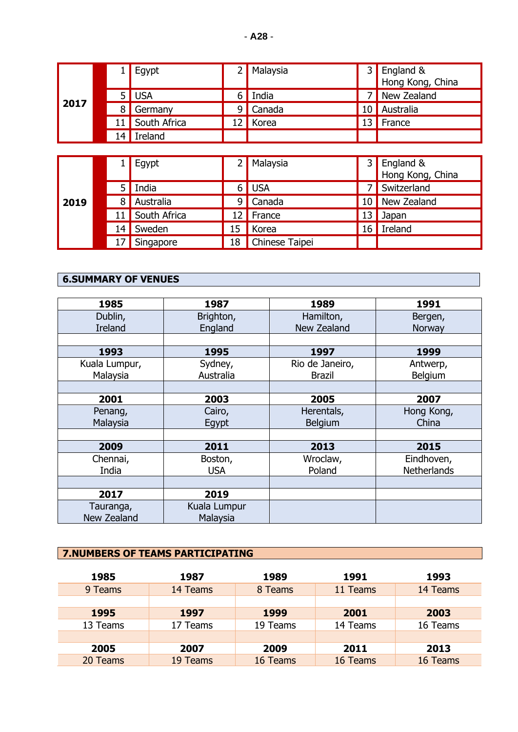|      |    | Egypt          |   | Malaysia | 3  | England &<br>Hong Kong, China |
|------|----|----------------|---|----------|----|-------------------------------|
|      |    | USA            |   | India    |    | New Zealand                   |
| 2017 |    | Germany        | 9 | Canada   |    | Australia                     |
|      | 11 | South Africa   |   | Korea    | '3 | France                        |
|      | 14 | <b>Ireland</b> |   |          |    |                               |

| 2019 |   | Egypt        |    | Malaysia       | 3  | England &<br>Hong Kong, China |
|------|---|--------------|----|----------------|----|-------------------------------|
|      |   | India<br>5 I |    | <b>USA</b>     |    | Switzerland                   |
|      | 8 | Australia    | 9  | Canada         | 10 | New Zealand                   |
|      |   | South Africa | 12 | France         | 13 | Japan                         |
|      |   | Sweden       | 15 | Korea          | 16 | Ireland                       |
|      |   | Singapore    | 18 | Chinese Taipei |    |                               |

# **6.SUMMARY OF VENUES**

| 1985           | 1987         | 1989            | 1991               |
|----------------|--------------|-----------------|--------------------|
| Dublin,        | Brighton,    | Hamilton,       | Bergen,            |
| <b>Ireland</b> | England      | New Zealand     | Norway             |
|                |              |                 |                    |
| 1993           | 1995         | 1997            | 1999               |
| Kuala Lumpur,  | Sydney,      | Rio de Janeiro, | Antwerp,           |
| Malaysia       | Australia    | <b>Brazil</b>   | Belgium            |
|                |              |                 |                    |
| 2001           | 2003         | 2005            | 2007               |
| Penang,        | Cairo,       | Herentals,      | Hong Kong,         |
| Malaysia       | Egypt        | Belgium         | China              |
|                |              |                 |                    |
| 2009           | 2011         | 2013            | 2015               |
| Chennai,       | Boston,      | Wroclaw,        | Eindhoven,         |
| India          | <b>USA</b>   | Poland          | <b>Netherlands</b> |
|                |              |                 |                    |
| 2017           | 2019         |                 |                    |
| Tauranga,      | Kuala Lumpur |                 |                    |
| New Zealand    | Malaysia     |                 |                    |

# **7.NUMBERS OF TEAMS PARTICIPATING**

| 1985     | 1987     | 1989     | 1991     | 1993     |
|----------|----------|----------|----------|----------|
| 9 Teams  | 14 Teams | 8 Teams  | 11 Teams | 14 Teams |
|          |          |          |          |          |
| 1995     | 1997     | 1999     | 2001     | 2003     |
| 13 Teams | 17 Teams | 19 Teams | 14 Teams | 16 Teams |
|          |          |          |          |          |
| 2005     | 2007     | 2009     | 2011     | 2013     |
| 20 Teams | 19 Teams | 16 Teams | 16 Teams | 16 Teams |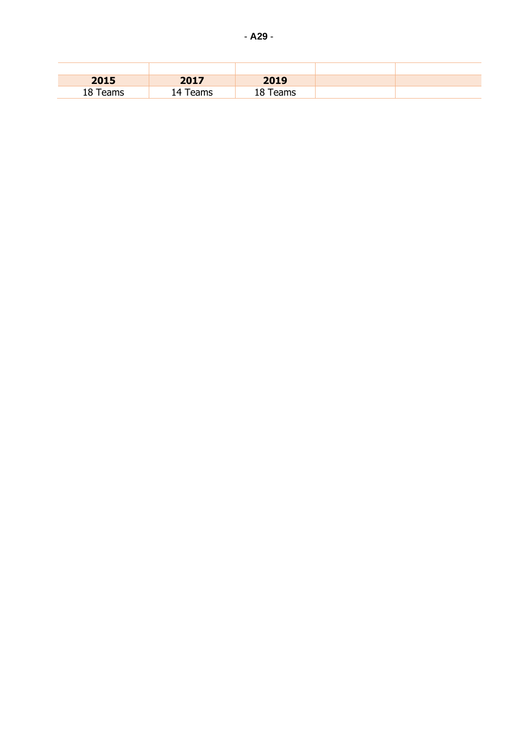| 2015     | 2017         | 2019        |  |
|----------|--------------|-------------|--|
| 18 Teams | Teams<br>ו∆י | Teams<br>18 |  |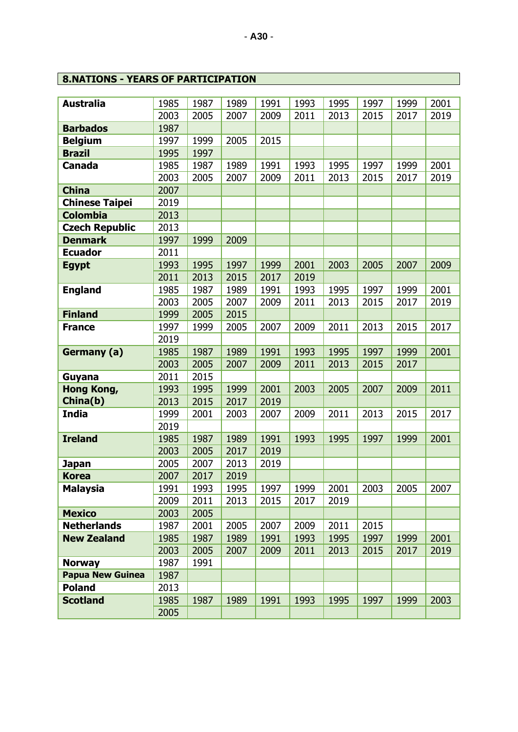# **8.NATIONS - YEARS OF PARTICIPATION**

| <b>Australia</b>        | 1985 | 1987 | 1989 | 1991 | 1993 | 1995 | 1997 | 1999 | 2001 |
|-------------------------|------|------|------|------|------|------|------|------|------|
|                         | 2003 | 2005 | 2007 | 2009 | 2011 | 2013 | 2015 | 2017 | 2019 |
| <b>Barbados</b>         | 1987 |      |      |      |      |      |      |      |      |
| <b>Belgium</b>          | 1997 | 1999 | 2005 | 2015 |      |      |      |      |      |
| <b>Brazil</b>           | 1995 | 1997 |      |      |      |      |      |      |      |
| <b>Canada</b>           | 1985 | 1987 | 1989 | 1991 | 1993 | 1995 | 1997 | 1999 | 2001 |
|                         | 2003 | 2005 | 2007 | 2009 | 2011 | 2013 | 2015 | 2017 | 2019 |
| <b>China</b>            | 2007 |      |      |      |      |      |      |      |      |
| <b>Chinese Taipei</b>   | 2019 |      |      |      |      |      |      |      |      |
| <b>Colombia</b>         | 2013 |      |      |      |      |      |      |      |      |
| <b>Czech Republic</b>   | 2013 |      |      |      |      |      |      |      |      |
| <b>Denmark</b>          | 1997 | 1999 | 2009 |      |      |      |      |      |      |
| <b>Ecuador</b>          | 2011 |      |      |      |      |      |      |      |      |
| <b>Egypt</b>            | 1993 | 1995 | 1997 | 1999 | 2001 | 2003 | 2005 | 2007 | 2009 |
|                         | 2011 | 2013 | 2015 | 2017 | 2019 |      |      |      |      |
| <b>England</b>          | 1985 | 1987 | 1989 | 1991 | 1993 | 1995 | 1997 | 1999 | 2001 |
|                         | 2003 | 2005 | 2007 | 2009 | 2011 | 2013 | 2015 | 2017 | 2019 |
| <b>Finland</b>          | 1999 | 2005 | 2015 |      |      |      |      |      |      |
| <b>France</b>           | 1997 | 1999 | 2005 | 2007 | 2009 | 2011 | 2013 | 2015 | 2017 |
|                         | 2019 |      |      |      |      |      |      |      |      |
| Germany (a)             | 1985 | 1987 | 1989 | 1991 | 1993 | 1995 | 1997 | 1999 | 2001 |
|                         | 2003 | 2005 | 2007 | 2009 | 2011 | 2013 | 2015 | 2017 |      |
| Guyana                  | 2011 | 2015 |      |      |      |      |      |      |      |
| <b>Hong Kong,</b>       | 1993 | 1995 | 1999 | 2001 | 2003 | 2005 | 2007 | 2009 | 2011 |
| China(b)                | 2013 | 2015 | 2017 | 2019 |      |      |      |      |      |
| <b>India</b>            | 1999 | 2001 | 2003 | 2007 | 2009 | 2011 | 2013 | 2015 | 2017 |
|                         | 2019 |      |      |      |      |      |      |      |      |
| <b>Ireland</b>          | 1985 | 1987 | 1989 | 1991 | 1993 | 1995 | 1997 | 1999 | 2001 |
|                         | 2003 | 2005 | 2017 | 2019 |      |      |      |      |      |
| <b>Japan</b>            | 2005 | 2007 | 2013 | 2019 |      |      |      |      |      |
| <b>Korea</b>            | 2007 | 2017 | 2019 |      |      |      |      |      |      |
| <b>Malaysia</b>         | 1991 | 1993 | 1995 | 1997 | 1999 | 2001 | 2003 | 2005 | 2007 |
|                         | 2009 | 2011 | 2013 | 2015 | 2017 | 2019 |      |      |      |
| <b>Mexico</b>           | 2003 | 2005 |      |      |      |      |      |      |      |
| <b>Netherlands</b>      | 1987 | 2001 | 2005 | 2007 | 2009 | 2011 | 2015 |      |      |
| <b>New Zealand</b>      | 1985 | 1987 | 1989 | 1991 | 1993 | 1995 | 1997 | 1999 | 2001 |
|                         | 2003 | 2005 | 2007 | 2009 | 2011 | 2013 | 2015 | 2017 | 2019 |
| <b>Norway</b>           | 1987 | 1991 |      |      |      |      |      |      |      |
| <b>Papua New Guinea</b> | 1987 |      |      |      |      |      |      |      |      |
| <b>Poland</b>           | 2013 |      |      |      |      |      |      |      |      |
| <b>Scotland</b>         | 1985 | 1987 | 1989 | 1991 | 1993 | 1995 | 1997 | 1999 | 2003 |
|                         | 2005 |      |      |      |      |      |      |      |      |